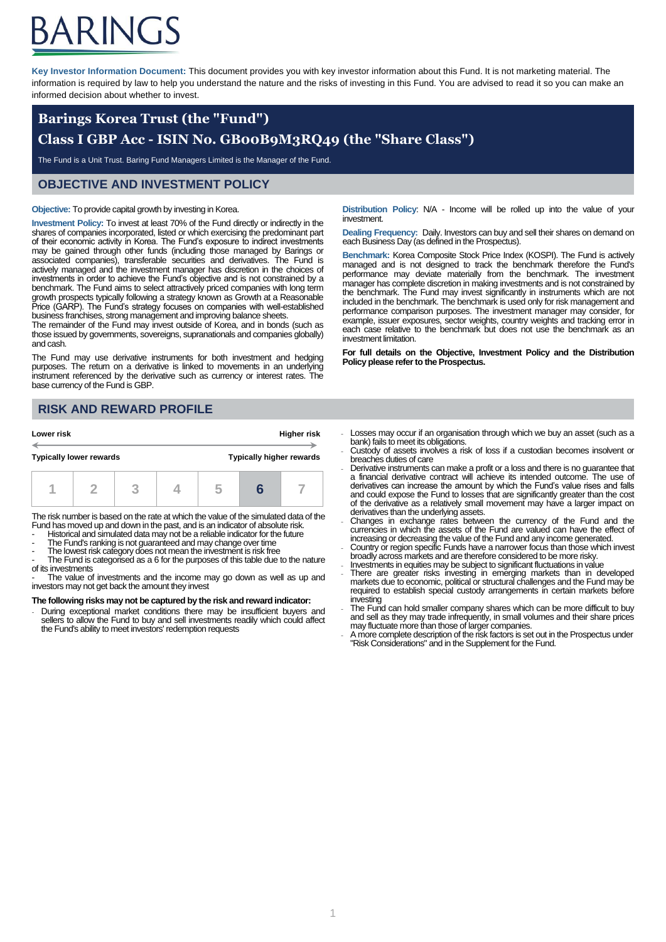# ARINGS

**Key Investor Information Document:** This document provides you with key investor information about this Fund. It is not marketing material. The information is required by law to help you understand the nature and the risks of investing in this Fund. You are advised to read it so you can make an informed decision about whether to invest.

## **Barings Korea Trust (the "Fund")**

## **Class I GBP Acc - ISIN No. GB00B9M3RQ49 (the "Share Class")**

The Fund is a Unit Trust. Baring Fund Managers Limited is the Manager of the Fund.

#### **OBJECTIVE AND INVESTMENT POLICY**

#### **Objective:** To provide capital growth by investing in Korea.

**Investment Policy:** To invest at least 70% of the Fund directly or indirectly in the shares of companies incorporated, listed or which exercising the predominant part of their economic activity in Korea. The Fund's exposure to indirect investments may be gained through other funds (including those managed by Barings or associated companies), transferable securities and derivatives. The Fund is actively managed and the investment manager has discretion in the choices of investments in order to achieve the Fund's objective and is not constrained by a benchmark. The Fund aims to select attractively priced companies with long term growth prospects typically following a strategy known as Growth at a Reasonable Price (GARP). The Fund's strategy focuses on companies with well-established business franchises, strong management and improving balance sheets.

The remainder of the Fund may invest outside of Korea, and in bonds (such as those issued by governments, sovereigns, supranationals and companies globally) and cash.

The Fund may use derivative instruments for both investment and hedging purposes. The return on a derivative is linked to movements in an underlying instrument referenced by the derivative such as currency or interest rates. The base currency of the Fund is GBP.

### **RISK AND REWARD PROFILE**

| Lower risk                     |  |    |  |  |                                 | <b>Higher risk</b> |
|--------------------------------|--|----|--|--|---------------------------------|--------------------|
| <b>Typically lower rewards</b> |  |    |  |  | <b>Typically higher rewards</b> |                    |
|                                |  | 72 |  |  |                                 |                    |

The risk number is based on the rate at which the value of the simulated data of the Fund has moved up and down in the past, and is an indicator of absolute risk.

- Historical and simulated data may not be a reliable indicator for the future

- The Fund's ranking is not guaranteed and may change over time

The lowest risk category does not mean the investment is risk free

The Fund is categorised as a 6 for the purposes of this table due to the nature of its investments

- The value of investments and the income may go down as well as up and investors may not get back the amount they invest

#### **The following risks may not be captured by the risk and reward indicator:**

During exceptional market conditions there may be insufficient buyers and sellers to allow the Fund to buy and sell investments readily which could affect the Fund's ability to meet investors' redemption requests

**Distribution Policy**: N/A - Income will be rolled up into the value of your investment

**Dealing Frequency: Daily. Investors can buy and sell their shares on demand on** each Business Day (as defined in the Prospectus).

**Benchmark:** Korea Composite Stock Price Index (KOSPI). The Fund is actively managed and is not designed to track the benchmark therefore the Fund's performance may deviate materially from the benchmark. The investment manager has complete discretion in making investments and is not constrained by the benchmark. The Fund may invest significantly in instruments which are not included in the benchmark. The benchmark is used only for risk management and performance comparison purposes. The investment manager may consider, for example, issuer exposures, sector weights, country weights and tracking error in each case relative to the benchmark but does not use the benchmark as an investment limitation.

**For full details on the Objective, Investment Policy and the Distribution Policy please refer to the Prospectus.**

- Losses may occur if an organisation through which we buy an asset (such as a bank) fails to meet its obligations.
- Custody of assets involves a risk of loss if a custodian becomes insolvent or breaches duties of care
- Derivative instruments can make a profit or a loss and there is no guarantee that a financial derivative contract will achieve its intended outcome. The use of derivatives can increase the amount by which the Fund's value rises and falls and could expose the Fund to losses that are significantly greater than the cost of the derivative as a relatively small movement may have a larger impact on derivatives than the underlying assets.
- Changes in exchange rates between the currency of the Fund and the currencies in which the assets of the Fund are valued can have the effect of
- increasing or decreasing the value of the Fund and any income generated.<br>Country or region specific Funds have a narrower focus than those which invest<br>broadly across markets and are therefore considered to be more risky.
- Investments in equities may be subject to significant fluctuations in value There are greater risks investing in emerging markets than in developed
- markets due to economic, political or structural challenges and the Fund may be required to establish special custody arrangements in certain markets before investing
- The Fund can hold smaller company shares which can be more difficult to buy and sell as they may trade infrequently, in small volumes and their share prices may fluctuate more than those of larger companies.
- A more complete description of the risk factors is set out in the Prospectus under "Risk Considerations" and in the Supplement for the Fund.